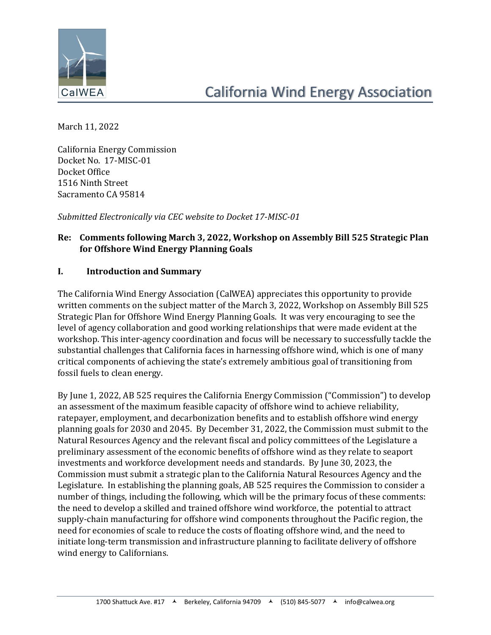

March 11, 2022

California Energy Commission Docket No. 17-MISC-01 Docket Office 1516 Ninth Street Sacramento CA 95814

*Submitted Electronically via CEC website to Docket 17-MISC-01*

# **Re: Comments following March 3, 2022, Workshop on Assembly Bill 525 Strategic Plan for Offshore Wind Energy Planning Goals**

# **I. Introduction and Summary**

The California Wind Energy Association (CalWEA) appreciates this opportunity to provide written comments on the subject matter of the March 3, 2022, Workshop on Assembly Bill 525 Strategic Plan for Offshore Wind Energy Planning Goals. It was very encouraging to see the level of agency collaboration and good working relationships that were made evident at the workshop. This inter-agency coordination and focus will be necessary to successfully tackle the substantial challenges that California faces in harnessing offshore wind, which is one of many critical components of achieving the state's extremely ambitious goal of transitioning from fossil fuels to clean energy.

By June 1, 2022, AB 525 requires the California Energy Commission ("Commission") to develop an assessment of the maximum feasible capacity of offshore wind to achieve reliability, ratepayer, employment, and decarbonization benefits and to establish offshore wind energy planning goals for 2030 and 2045. By December 31, 2022, the Commission must submit to the Natural Resources Agency and the relevant fiscal and policy committees of the Legislature a preliminary assessment of the economic benefits of offshore wind as they relate to seaport investments and workforce development needs and standards. By June 30, 2023, the Commission must submit a strategic plan to the California Natural Resources Agency and the Legislature. In establishing the planning goals, AB 525 requires the Commission to consider a number of things, including the following, which will be the primary focus of these comments: the need to develop a skilled and trained offshore wind workforce, the potential to attract supply-chain manufacturing for offshore wind components throughout the Pacific region, the need for economies of scale to reduce the costs of floating offshore wind, and the need to initiate long-term transmission and infrastructure planning to facilitate delivery of offshore wind energy to Californians.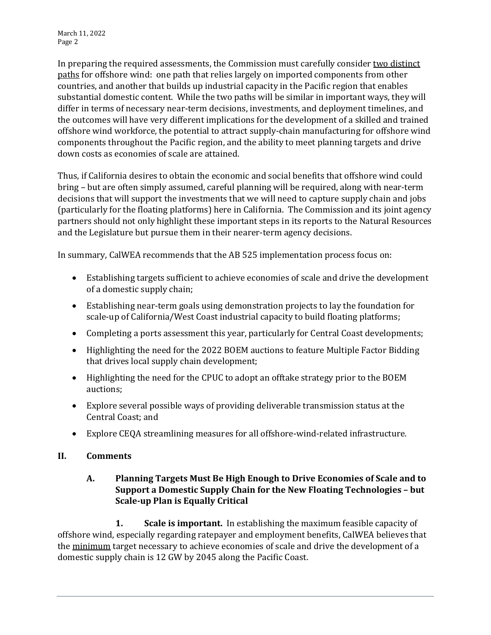In preparing the required assessments, the Commission must carefully consider two distinct paths for offshore wind: one path that relies largely on imported components from other countries, and another that builds up industrial capacity in the Pacific region that enables substantial domestic content. While the two paths will be similar in important ways, they will differ in terms of necessary near-term decisions, investments, and deployment timelines, and the outcomes will have very different implications for the development of a skilled and trained offshore wind workforce, the potential to attract supply-chain manufacturing for offshore wind components throughout the Pacific region, and the ability to meet planning targets and drive down costs as economies of scale are attained.

Thus, if California desires to obtain the economic and social benefits that offshore wind could bring – but are often simply assumed, careful planning will be required, along with near-term decisions that will support the investments that we will need to capture supply chain and jobs (particularly for the floating platforms) here in California. The Commission and its joint agency partners should not only highlight these important steps in its reports to the Natural Resources and the Legislature but pursue them in their nearer-term agency decisions.

In summary, CalWEA recommends that the AB 525 implementation process focus on:

- Establishing targets sufficient to achieve economies of scale and drive the development of a domestic supply chain;
- Establishing near-term goals using demonstration projects to lay the foundation for scale-up of California/West Coast industrial capacity to build floating platforms;
- Completing a ports assessment this year, particularly for Central Coast developments;
- Highlighting the need for the 2022 BOEM auctions to feature Multiple Factor Bidding that drives local supply chain development;
- Highlighting the need for the CPUC to adopt an offtake strategy prior to the BOEM auctions;
- Explore several possible ways of providing deliverable transmission status at the Central Coast; and
- Explore CEQA streamlining measures for all offshore-wind-related infrastructure.

### **II. Comments**

### **A. Planning Targets Must Be High Enough to Drive Economies of Scale and to Support a Domestic Supply Chain for the New Floating Technologies – but Scale-up Plan is Equally Critical**

**1. Scale is important.** In establishing the maximum feasible capacity of offshore wind, especially regarding ratepayer and employment benefits, CalWEA believes that the minimum target necessary to achieve economies of scale and drive the development of a domestic supply chain is 12 GW by 2045 along the Pacific Coast.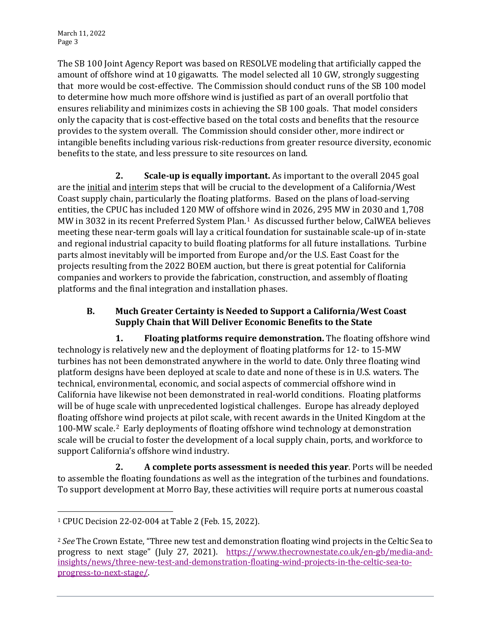The SB 100 Joint Agency Report was based on RESOLVE modeling that artificially capped the amount of offshore wind at 10 gigawatts. The model selected all 10 GW, strongly suggesting that more would be cost-effective. The Commission should conduct runs of the SB 100 model to determine how much more offshore wind is justified as part of an overall portfolio that ensures reliability and minimizes costs in achieving the SB 100 goals. That model considers only the capacity that is cost-effective based on the total costs and benefits that the resource provides to the system overall. The Commission should consider other, more indirect or intangible benefits including various risk-reductions from greater resource diversity, economic benefits to the state, and less pressure to site resources on land.

**2. Scale-up is equally important.** As important to the overall 2045 goal are the initial and interim steps that will be crucial to the development of a California/West Coast supply chain, particularly the floating platforms. Based on the plans of load-serving entities, the CPUC has included 120 MW of offsh[o](#page-2-0)re wind in 2026, 295 MW in 2030 and 1,708 MW in 3032 in its recent Preferred System Plan. <sup>1</sup> As discussed further below, CalWEA believes meeting these near-term goals will lay a critical foundation for sustainable scale-up of in-state and regional industrial capacity to build floating platforms for all future installations. Turbine parts almost inevitably will be imported from Europe and/or the U.S. East Coast for the projects resulting from the 2022 BOEM auction, but there is great potential for California companies and workers to provide the fabrication, construction, and assembly of floating platforms and the final integration and installation phases.

# **B. Much Greater Certainty is Needed to Support a California/West Coast Supply Chain that Will Deliver Economic Benefits to the State**

**1. Floating platforms require demonstration.** The floating offshore wind technology is relatively new and the deployment of floating platforms for 12- to 15-MW turbines has not been demonstrated anywhere in the world to date. Only three floating wind platform designs have been deployed at scale to date and none of these is in U.S. waters. The technical, environmental, economic, and social aspects of commercial offshore wind in California have likewise not been demonstrated in real-world conditions. Floating platforms will be of huge scale with unprecedented logistical challenges. Europe has already deployed floating offshore wind projects at pilot scale, with recent awards in the United Kingdom at the 100-MW scale.[2](#page-2-1) Early deployments of floating offshore wind technology at demonstration scale will be crucial to foster the development of a local supply chain, ports, and workforce to support California's offshore wind industry.

**2. A complete ports assessment is needed this year**. Ports will be needed to assemble the floating foundations as well as the integration of the turbines and foundations. To support development at Morro Bay, these activities will require ports at numerous coastal

<span id="page-2-0"></span><sup>1</sup> CPUC Decision 22-02-004 at Table 2 (Feb. 15, 2022).

<span id="page-2-1"></span><sup>2</sup> *See* The Crown Estate, "Three new test and demonstration floating wind projects in the Celtic Sea to progress to next stage" (July 27, 2021). [https://www.thecrownestate.co.uk/en-gb/media-and](https://www.thecrownestate.co.uk/en-gb/media-and-insights/news/three-new-test-and-demonstration-floating-wind-projects-in-the-celtic-sea-to-progress-to-next-stage/)[insights/news/three-new-test-and-demonstration-floating-wind-projects-in-the-celtic-sea-to](https://www.thecrownestate.co.uk/en-gb/media-and-insights/news/three-new-test-and-demonstration-floating-wind-projects-in-the-celtic-sea-to-progress-to-next-stage/)[progress-to-next-stage/.](https://www.thecrownestate.co.uk/en-gb/media-and-insights/news/three-new-test-and-demonstration-floating-wind-projects-in-the-celtic-sea-to-progress-to-next-stage/)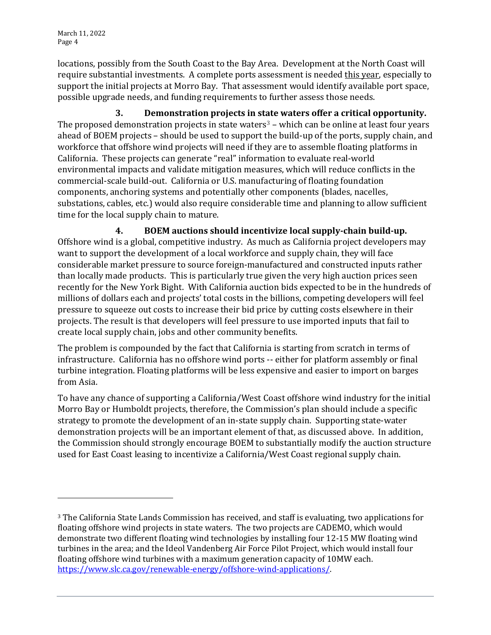locations, possibly from the South Coast to the Bay Area. Development at the North Coast will require substantial investments. A complete ports assessment is needed this year, especially to support the initial projects at Morro Bay. That assessment would identify available port space, possible upgrade needs, and funding requirements to further assess those needs.

**3. Demonstration projects in state waters offer a critical opportunity.**  The proposed demonstration projects in state waters<sup>[3](#page-3-0)</sup> – which can be online at least four years ahead of BOEM projects – should be used to support the build-up of the ports, supply chain, and workforce that offshore wind projects will need if they are to assemble floating platforms in California. These projects can generate "real" information to evaluate real-world environmental impacts and validate mitigation measures, which will reduce conflicts in the commercial-scale build-out. California or U.S. manufacturing of floating foundation components, anchoring systems and potentially other components (blades, nacelles, substations, cables, etc.) would also require considerable time and planning to allow sufficient time for the local supply chain to mature.

**4. BOEM auctions should incentivize local supply-chain build-up.** Offshore wind is a global, competitive industry. As much as California project developers may want to support the development of a local workforce and supply chain, they will face considerable market pressure to source foreign-manufactured and constructed inputs rather than locally made products. This is particularly true given the very high auction prices seen recently for the New York Bight. With California auction bids expected to be in the hundreds of millions of dollars each and projects' total costs in the billions, competing developers will feel pressure to squeeze out costs to increase their bid price by cutting costs elsewhere in their projects. The result is that developers will feel pressure to use imported inputs that fail to create local supply chain, jobs and other community benefits.

The problem is compounded by the fact that California is starting from scratch in terms of infrastructure. California has no offshore wind ports -- either for platform assembly or final turbine integration. Floating platforms will be less expensive and easier to import on barges from Asia.

To have any chance of supporting a California/West Coast offshore wind industry for the initial Morro Bay or Humboldt projects, therefore, the Commission's plan should include a specific strategy to promote the development of an in-state supply chain. Supporting state-water demonstration projects will be an important element of that, as discussed above. In addition, the Commission should strongly encourage BOEM to substantially modify the auction structure used for East Coast leasing to incentivize a California/West Coast regional supply chain.

<span id="page-3-0"></span><sup>3</sup> The California State Lands Commission has received, and staff is evaluating, two applications for floating offshore wind projects in state waters. The two projects are CADEMO, which would demonstrate two different floating wind technologies by installing four 12-15 MW floating wind turbines in the area; and the Ideol Vandenberg Air Force Pilot Project, which would install four floating offshore wind turbines with a maximum generation capacity of 10MW each. [https://www.slc.ca.gov/renewable-energy/offshore-wind-applications/.](https://www.slc.ca.gov/renewable-energy/offshore-wind-applications/)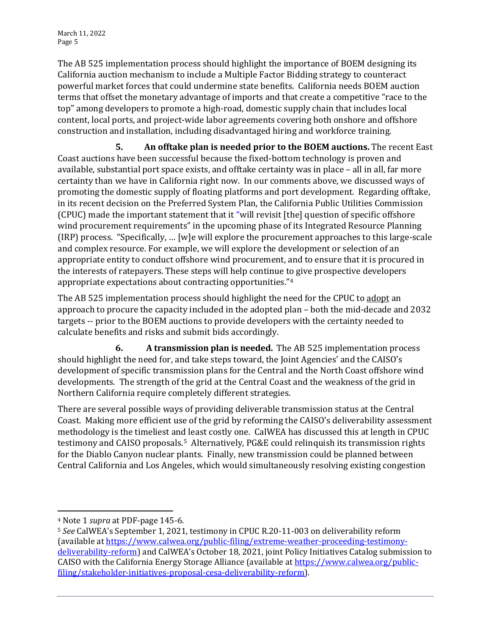The AB 525 implementation process should highlight the importance of BOEM designing its California auction mechanism to include a Multiple Factor Bidding strategy to counteract powerful market forces that could undermine state benefits. California needs BOEM auction terms that offset the monetary advantage of imports and that create a competitive "race to the top" among developers to promote a high-road, domestic supply chain that includes local content, local ports, and project-wide labor agreements covering both onshore and offshore construction and installation, including disadvantaged hiring and workforce training.

**5. An offtake plan is needed prior to the BOEM auctions.** The recent East Coast auctions have been successful because the fixed-bottom technology is proven and available, substantial port space exists, and offtake certainty was in place – all in all, far more certainty than we have in California right now. In our comments above, we discussed ways of promoting the domestic supply of floating platforms and port development. Regarding offtake, in its recent decision on the Preferred System Plan, the California Public Utilities Commission (CPUC) made the important statement that it "will revisit [the] question of specific offshore wind procurement requirements" in the upcoming phase of its Integrated Resource Planning (IRP) process. "Specifically, … [w]e will explore the procurement approaches to this large-scale and complex resource. For example, we will explore the development or selection of an appropriate entity to conduct offshore wind procurement, and to ensure that it is procured in the interests of ratepayers. These steps will help continue to give prospective developers appropriate expectations about contracting opportunities."[4](#page-4-0)

The AB 525 implementation process should highlight the need for the CPUC to adopt an approach to procure the capacity included in the adopted plan – both the mid-decade and 2032 targets -- prior to the BOEM auctions to provide developers with the certainty needed to calculate benefits and risks and submit bids accordingly.

**6. A transmission plan is needed.** The AB 525 implementation process should highlight the need for, and take steps toward, the Joint Agencies' and the CAISO's development of specific transmission plans for the Central and the North Coast offshore wind developments. The strength of the grid at the Central Coast and the weakness of the grid in Northern California require completely different strategies.

There are several possible ways of providing deliverable transmission status at the Central Coast. Making more efficient use of the grid by reforming the CAISO's deliverability assessment methodology is the timeliest and least costly one. CalWEA has discussed this at length in CPUC testimony and CAISO proposals.<sup>[5](#page-4-1)</sup> Alternatively, PG&E could relinquish its transmission rights for the Diablo Canyon nuclear plants. Finally, new transmission could be planned between Central California and Los Angeles, which would simultaneously resolving existing congestion

<span id="page-4-0"></span><sup>4</sup> Note 1 *supra* at PDF-page 145-6.

<span id="page-4-1"></span><sup>5</sup> *See* CalWEA's September 1, 2021, testimony in CPUC R.20-11-003 on deliverability reform (available at [https://www.calwea.org/public-filing/extreme-weather-proceeding-testimony](https://www.calwea.org/public-filing/extreme-weather-proceeding-testimony-deliverability-reform)[deliverability-reform\)](https://www.calwea.org/public-filing/extreme-weather-proceeding-testimony-deliverability-reform) and CalWEA's October 18, 2021, joint Policy Initiatives Catalog submission to CAISO with the California Energy Storage Alliance (available at [https://www.calwea.org/public](https://www.calwea.org/public-filing/stakeholder-initiatives-proposal-cesa-deliverability-reform)[filing/stakeholder-initiatives-proposal-cesa-deliverability-reform\)](https://www.calwea.org/public-filing/stakeholder-initiatives-proposal-cesa-deliverability-reform).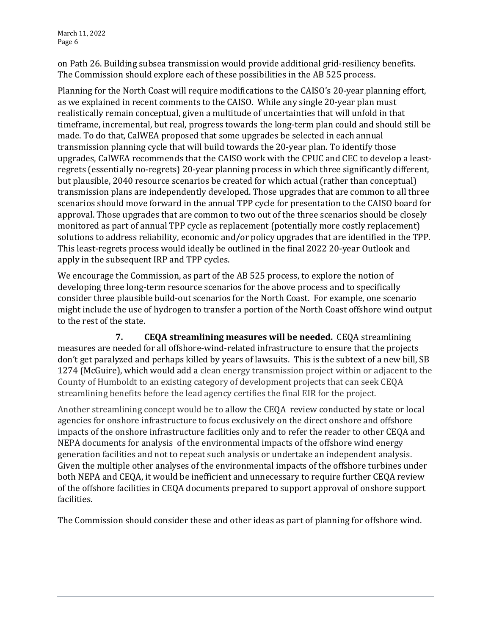on Path 26. Building subsea transmission would provide additional grid-resiliency benefits. The Commission should explore each of these possibilities in the AB 525 process.

Planning for the North Coast will require modifications to the CAISO's 20-year planning effort, as we explained in recent comments to the CAISO. While any single 20-year plan must realistically remain conceptual, given a multitude of uncertainties that will unfold in that timeframe, incremental, but real, progress towards the long-term plan could and should still be made. To do that, CalWEA proposed that some upgrades be selected in each annual transmission planning cycle that will build towards the 20-year plan. To identify those upgrades, CalWEA recommends that the CAISO work with the CPUC and CEC to develop a leastregrets (essentially no-regrets) 20-year planning process in which three significantly different, but plausible, 2040 resource scenarios be created for which actual (rather than conceptual) transmission plans are independently developed. Those upgrades that are common to all three scenarios should move forward in the annual TPP cycle for presentation to the CAISO board for approval. Those upgrades that are common to two out of the three scenarios should be closely monitored as part of annual TPP cycle as replacement (potentially more costly replacement) solutions to address reliability, economic and/or policy upgrades that are identified in the TPP. This least-regrets process would ideally be outlined in the final 2022 20-year Outlook and apply in the subsequent IRP and TPP cycles.

We encourage the Commission, as part of the AB 525 process, to explore the notion of developing three long-term resource scenarios for the above process and to specifically consider three plausible build-out scenarios for the North Coast. For example, one scenario might include the use of hydrogen to transfer a portion of the North Coast offshore wind output to the rest of the state.

**7. CEQA streamlining measures will be needed.** CEQA streamlining measures are needed for all offshore-wind-related infrastructure to ensure that the projects don't get paralyzed and perhaps killed by years of lawsuits. This is the subtext of a new bill, SB 1274 (McGuire), which would add a clean energy transmission project within or adjacent to the County of Humboldt to an existing category of development projects that can seek CEQA streamlining benefits before the lead agency certifies the final EIR for the project.

Another streamlining concept would be to allow the CEQA review conducted by state or local agencies for onshore infrastructure to focus exclusively on the direct onshore and offshore impacts of the onshore infrastructure facilities only and to refer the reader to other CEQA and NEPA documents for analysis of the environmental impacts of the offshore wind energy generation facilities and not to repeat such analysis or undertake an independent analysis. Given the multiple other analyses of the environmental impacts of the offshore turbines under both NEPA and CEQA, it would be inefficient and unnecessary to require further CEQA review of the offshore facilities in CEQA documents prepared to support approval of onshore support facilities.

The Commission should consider these and other ideas as part of planning for offshore wind.